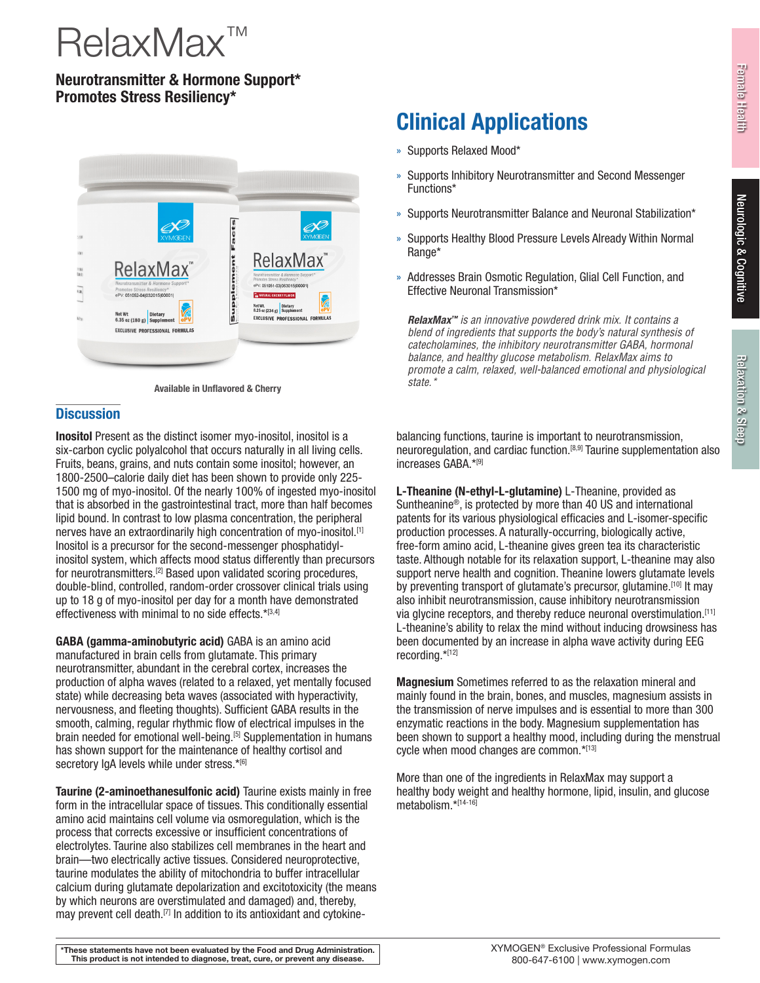# RelaxMax™

# Neurotransmitter & Hormone Support\* Promotes Stress Resiliency\*



**Available in Unflavored & Cherry** 

## **Discussion**

Inositol Present as the distinct isomer myo-inositol, inositol is a six-carbon cyclic polyalcohol that occurs naturally in all living cells. Fruits, beans, grains, and nuts contain some inositol; however, an 1800-2500–calorie daily diet has been shown to provide only 225- 1500 mg of myo-inositol. Of the nearly 100% of ingested myo-inositol that is absorbed in the gastrointestinal tract, more than half becomes lipid bound. In contrast to low plasma concentration, the peripheral nerves have an extraordinarily high concentration of myo-inositol.[1] Inositol is a precursor for the second-messenger phosphatidylinositol system, which affects mood status differently than precursors for neurotransmitters.[2] Based upon validated scoring procedures, double-blind, controlled, random-order crossover clinical trials using up to 18 g of myo-inositol per day for a month have demonstrated effectiveness with minimal to no side effects.\*[3,4]

GABA (gamma-aminobutyric acid) GABA is an amino acid manufactured in brain cells from glutamate. This primary neurotransmitter, abundant in the cerebral cortex, increases the production of alpha waves (related to a relaxed, yet mentally focused state) while decreasing beta waves (associated with hyperactivity, nervousness, and fleeting thoughts). Sufficient GABA results in the smooth, calming, regular rhythmic flow of electrical impulses in the brain needed for emotional well-being.<sup>[5]</sup> Supplementation in humans has shown support for the maintenance of healthy cortisol and secretory IgA levels while under stress.\*[6]

Taurine (2-aminoethanesulfonic acid) Taurine exists mainly in free form in the intracellular space of tissues. This conditionally essential amino acid maintains cell volume via osmoregulation, which is the process that corrects excessive or insufficient concentrations of electrolytes. Taurine also stabilizes cell membranes in the heart and brain—two electrically active tissues. Considered neuroprotective, taurine modulates the ability of mitochondria to buffer intracellular calcium during glutamate depolarization and excitotoxicity (the means by which neurons are overstimulated and damaged) and, thereby, may prevent cell death.<sup>[7]</sup> In addition to its antioxidant and cytokine-

# Clinical Applications

- » Supports Relaxed Mood\*
- » Supports Inhibitory Neurotransmitter and Second Messenger Functions\*
- » Supports Neurotransmitter Balance and Neuronal Stabilization\*
- » Supports Healthy Blood Pressure Levels Already Within Normal Range\*
- » Addresses Brain Osmotic Regulation, Glial Cell Function, and Effective Neuronal Transmission\*

*RelaxMax™ is an innovative powdered drink mix. It contains a blend of ingredients that supports the body's natural synthesis of catecholamines, the inhibitory neurotransmitter GABA, hormonal balance, and healthy glucose metabolism. RelaxMax aims to promote a calm, relaxed, well-balanced emotional and physiological* 

balancing functions, taurine is important to neurotransmission, neuroregulation, and cardiac function.[8,9] Taurine supplementation also increases GABA.\*[9]

L-Theanine (N-ethyl-L-glutamine) L-Theanine, provided as Suntheanine®, is protected by more than 40 US and international patents for its various physiological efficacies and L-isomer-specific production processes. A naturally-occurring, biologically active, free-form amino acid, L-theanine gives green tea its characteristic taste. Although notable for its relaxation support, L-theanine may also support nerve health and cognition. Theanine lowers glutamate levels by preventing transport of glutamate's precursor, glutamine.<sup>[10]</sup> It may also inhibit neurotransmission, cause inhibitory neurotransmission via glycine receptors, and thereby reduce neuronal overstimulation.[11] L-theanine's ability to relax the mind without inducing drowsiness has been documented by an increase in alpha wave activity during EEG recording.\*[12]

Magnesium Sometimes referred to as the relaxation mineral and mainly found in the brain, bones, and muscles, magnesium assists in the transmission of nerve impulses and is essential to more than 300 enzymatic reactions in the body. Magnesium supplementation has been shown to support a healthy mood, including during the menstrual cycle when mood changes are common.\*[13]

More than one of the ingredients in RelaxMax may support a healthy body weight and healthy hormone, lipid, insulin, and glucose metabolism.\*[14-16]